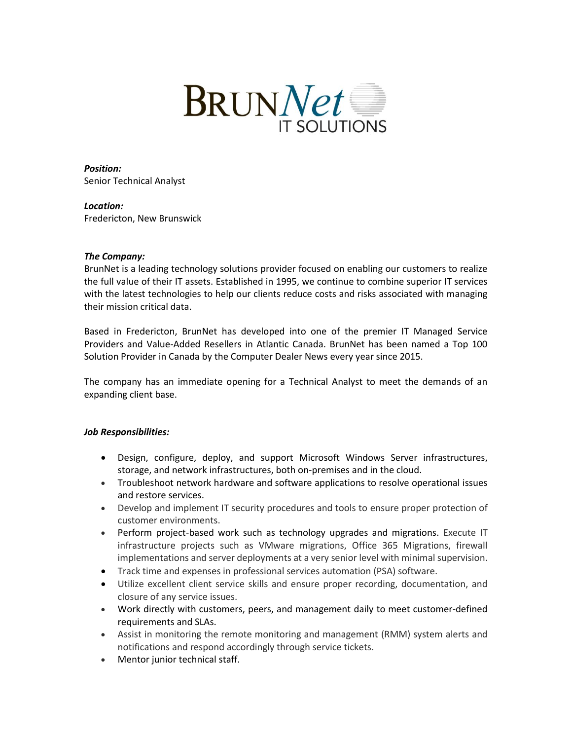

*Position:* Senior Technical Analyst

*Location:* Fredericton, New Brunswick

## *The Company:*

BrunNet is a leading technology solutions provider focused on enabling our customers to realize the full value of their IT assets. Established in 1995, we continue to combine superior IT services with the latest technologies to help our clients reduce costs and risks associated with managing their mission critical data.

Based in Fredericton, BrunNet has developed into one of the premier IT Managed Service Providers and Value-Added Resellers in Atlantic Canada. BrunNet has been named a Top 100 Solution Provider in Canada by the Computer Dealer News every year since 2015.

The company has an immediate opening for a Technical Analyst to meet the demands of an expanding client base.

## *Job Responsibilities:*

- Design, configure, deploy, and support Microsoft Windows Server infrastructures, storage, and network infrastructures, both on-premises and in the cloud.
- Troubleshoot network hardware and software applications to resolve operational issues and restore services.
- Develop and implement IT security procedures and tools to ensure proper protection of customer environments.
- Perform project-based work such as technology upgrades and migrations. Execute IT infrastructure projects such as VMware migrations, Office 365 Migrations, firewall implementations and server deployments at a very senior level with minimal supervision.
- Track time and expenses in professional services automation (PSA) software.
- Utilize excellent client service skills and ensure proper recording, documentation, and closure of any service issues.
- Work directly with customers, peers, and management daily to meet customer-defined requirements and SLAs.
- Assist in monitoring the remote monitoring and management (RMM) system alerts and notifications and respond accordingly through service tickets.
- Mentor junior technical staff.